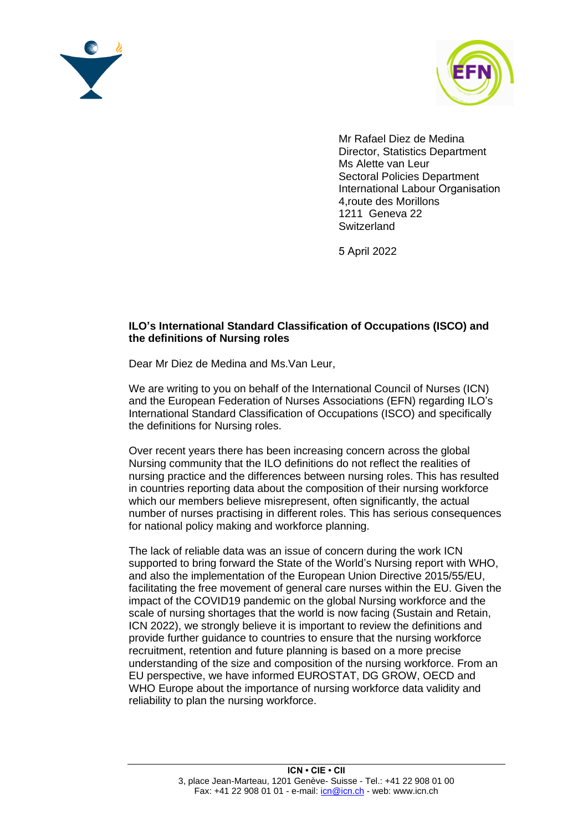



Mr Rafael Diez de Medina Director, Statistics Department Ms Alette van Leur [Sectoral Polic](mailto:diez@ilo.org)ies Department International Labour Organisation 4,route des Morillons [1211 Geneva 22](mailto:vanleur@ilo.org) **Switzerland** 

5 April 2022

## **ILO's International Standard Classification of Occupations (ISCO) and the definitions of Nursing roles**

Dear Mr Diez de Medina and Ms.Van Leur,

We are writing to you on behalf of the International Council of Nurses (ICN) and the European Federation of Nurses Associations (EFN) regarding ILO's International Standard Classification of Occupations (ISCO) and specifically the definitions for Nursing roles.

Over recent years there has been increasing concern across the global Nursing community that the ILO definitions do not reflect the realities of nursing practice and the differences between nursing roles. This has resulted in countries reporting data about the composition of their nursing workforce which our members believe misrepresent, often significantly, the actual number of nurses practising in different roles. This has serious consequences for national policy making and workforce planning.

The lack of reliable data was an issue of concern during the work ICN supported to bring forward the State of the World's Nursing report with WHO, and also the implementation of the European Union Directive 2015/55/EU, facilitating the free movement of general care nurses within the EU. Given the impact of the COVID19 pandemic on the global Nursing workforce and the scale of nursing shortages that the world is now facing (Sustain and Retain, ICN 2022), we strongly believe it is important to review the definitions and provide further guidance to countries to ensure that the nursing workforce recruitment, retention and future planning is based on a more precise understanding of the size and composition of the nursing workforce. From an EU perspective, we have informed EUROSTAT, DG GROW, OECD and WHO Europe about the importance of nursing workforce data validity and reliability to plan the nursing workforce.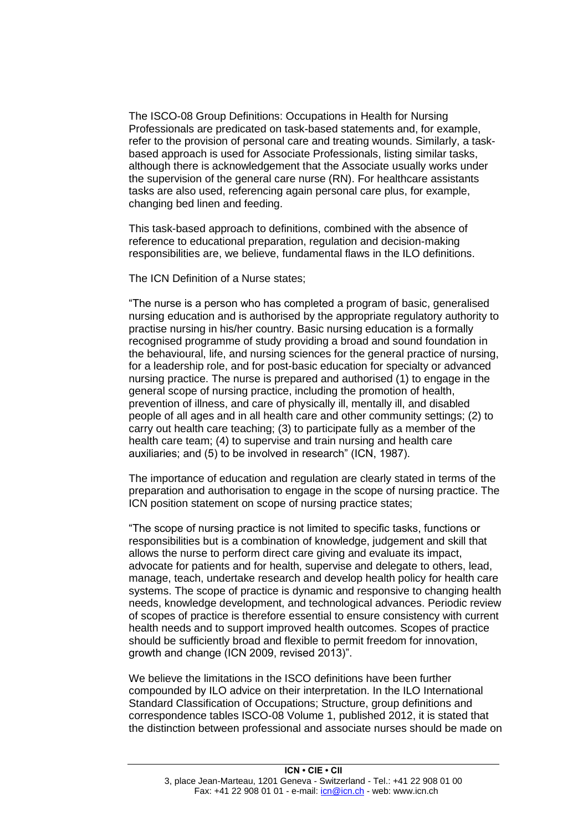The ISCO-08 Group Definitions: Occupations in Health for Nursing Professionals are predicated on task-based statements and, for example, refer to the provision of personal care and treating wounds. Similarly, a taskbased approach is used for Associate Professionals, listing similar tasks, although there is acknowledgement that the Associate usually works under the supervision of the general care nurse (RN). For healthcare assistants tasks are also used, referencing again personal care plus, for example, changing bed linen and feeding.

This task-based approach to definitions, combined with the absence of reference to educational preparation, regulation and decision-making responsibilities are, we believe, fundamental flaws in the ILO definitions.

The ICN Definition of a Nurse states;

"The nurse is a person who has completed a program of basic, generalised nursing education and is authorised by the appropriate regulatory authority to practise nursing in his/her country. Basic nursing education is a formally recognised programme of study providing a broad and sound foundation in the behavioural, life, and nursing sciences for the general practice of nursing, for a leadership role, and for post-basic education for specialty or advanced nursing practice. The nurse is prepared and authorised (1) to engage in the general scope of nursing practice, including the promotion of health, prevention of illness, and care of physically ill, mentally ill, and disabled people of all ages and in all health care and other community settings; (2) to carry out health care teaching; (3) to participate fully as a member of the health care team; (4) to supervise and train nursing and health care auxiliaries; and (5) to be involved in research" (ICN, 1987).

The importance of education and regulation are clearly stated in terms of the preparation and authorisation to engage in the scope of nursing practice. The ICN position statement on scope of nursing practice states;

"The scope of nursing practice is not limited to specific tasks, functions or responsibilities but is a combination of knowledge, judgement and skill that allows the nurse to perform direct care giving and evaluate its impact, advocate for patients and for health, supervise and delegate to others, lead, manage, teach, undertake research and develop health policy for health care systems. The scope of practice is dynamic and responsive to changing health needs, knowledge development, and technological advances. Periodic review of scopes of practice is therefore essential to ensure consistency with current health needs and to support improved health outcomes. Scopes of practice should be sufficiently broad and flexible to permit freedom for innovation, growth and change (ICN 2009, revised 2013)".

We believe the limitations in the ISCO definitions have been further compounded by ILO advice on their interpretation. In the ILO International Standard Classification of Occupations; Structure, group definitions and correspondence tables ISCO-08 Volume 1, published 2012, it is stated that the distinction between professional and associate nurses should be made on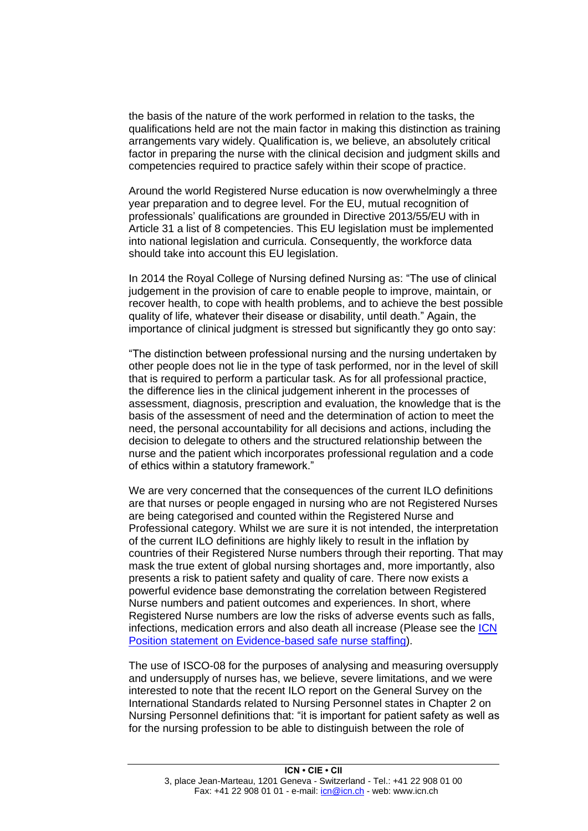the basis of the nature of the work performed in relation to the tasks, the qualifications held are not the main factor in making this distinction as training arrangements vary widely. Qualification is, we believe, an absolutely critical factor in preparing the nurse with the clinical decision and judgment skills and competencies required to practice safely within their scope of practice.

Around the world Registered Nurse education is now overwhelmingly a three year preparation and to degree level. For the EU, mutual recognition of professionals' qualifications are grounded in Directive 2013/55/EU with in Article 31 a list of 8 competencies. This EU legislation must be implemented into national legislation and curricula. Consequently, the workforce data should take into account this EU legislation.

In 2014 the Royal College of Nursing defined Nursing as: "The use of clinical judgement in the provision of care to enable people to improve, maintain, or recover health, to cope with health problems, and to achieve the best possible quality of life, whatever their disease or disability, until death." Again, the importance of clinical judgment is stressed but significantly they go onto say:

"The distinction between professional nursing and the nursing undertaken by other people does not lie in the type of task performed, nor in the level of skill that is required to perform a particular task. As for all professional practice, the difference lies in the clinical judgement inherent in the processes of assessment, diagnosis, prescription and evaluation, the knowledge that is the basis of the assessment of need and the determination of action to meet the need, the personal accountability for all decisions and actions, including the decision to delegate to others and the structured relationship between the nurse and the patient which incorporates professional regulation and a code of ethics within a statutory framework."

We are very concerned that the consequences of the current ILO definitions are that nurses or people engaged in nursing who are not Registered Nurses are being categorised and counted within the Registered Nurse and Professional category. Whilst we are sure it is not intended, the interpretation of the current ILO definitions are highly likely to result in the inflation by countries of their Registered Nurse numbers through their reporting. That may mask the true extent of global nursing shortages and, more importantly, also presents a risk to patient safety and quality of care. There now exists a powerful evidence base demonstrating the correlation between Registered Nurse numbers and patient outcomes and experiences. In short, where Registered Nurse numbers are low the risks of adverse events such as falls, infections, medication errors and also death all increase (Please see the [ICN](https://www.icn.ch/sites/default/files/inline-files/PS_C_%20Evidence%20based%20safe%20nurse%20staffing_1.pdf)  [Position statement on Evidence-based safe nurse staffing\)](https://www.icn.ch/sites/default/files/inline-files/PS_C_%20Evidence%20based%20safe%20nurse%20staffing_1.pdf).

The use of ISCO-08 for the purposes of analysing and measuring oversupply and undersupply of nurses has, we believe, severe limitations, and we were interested to note that the recent ILO report on the General Survey on the International Standards related to Nursing Personnel states in Chapter 2 on Nursing Personnel definitions that: "it is important for patient safety as well as for the nursing profession to be able to distinguish between the role of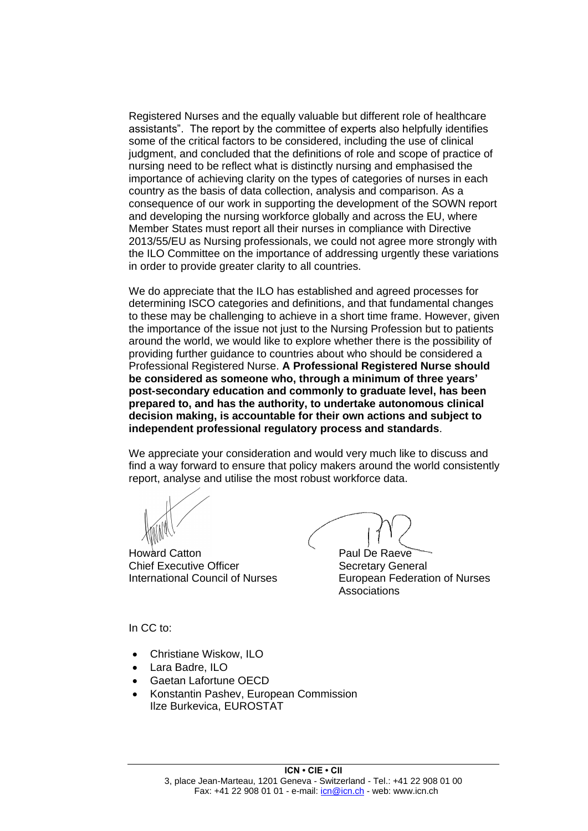Registered Nurses and the equally valuable but different role of healthcare assistants". The report by the committee of experts also helpfully identifies some of the critical factors to be considered, including the use of clinical judgment, and concluded that the definitions of role and scope of practice of nursing need to be reflect what is distinctly nursing and emphasised the importance of achieving clarity on the types of categories of nurses in each country as the basis of data collection, analysis and comparison. As a consequence of our work in supporting the development of the SOWN report and developing the nursing workforce globally and across the EU, where Member States must report all their nurses in compliance with Directive 2013/55/EU as Nursing professionals, we could not agree more strongly with the ILO Committee on the importance of addressing urgently these variations in order to provide greater clarity to all countries.

We do appreciate that the ILO has established and agreed processes for determining ISCO categories and definitions, and that fundamental changes to these may be challenging to achieve in a short time frame. However, given the importance of the issue not just to the Nursing Profession but to patients around the world, we would like to explore whether there is the possibility of providing further guidance to countries about who should be considered a Professional Registered Nurse. **A Professional Registered Nurse should be considered as someone who, through a minimum of three years' post-secondary education and commonly to graduate level, has been prepared to, and has the authority, to undertake autonomous clinical decision making, is accountable for their own actions and subject to independent professional regulatory process and standards**.

We appreciate your consideration and would very much like to discuss and find a way forward to ensure that policy makers around the world consistently report, analyse and utilise the most robust workforce data.

Howard Catton **Paul De Raeve** Chief Executive Officer Secretary General

International Council of Nurses European Federation of Nurses Associations

In CC to:

- Christiane Wiskow, ILO
- Lara Badre, ILO
- Gaetan Lafortune OECD
- Konstantin Pashev, European Commission [Ilze Burkevica, EUROSTAT](mailto:Konstantin.PASHEV@ec.europa.eu)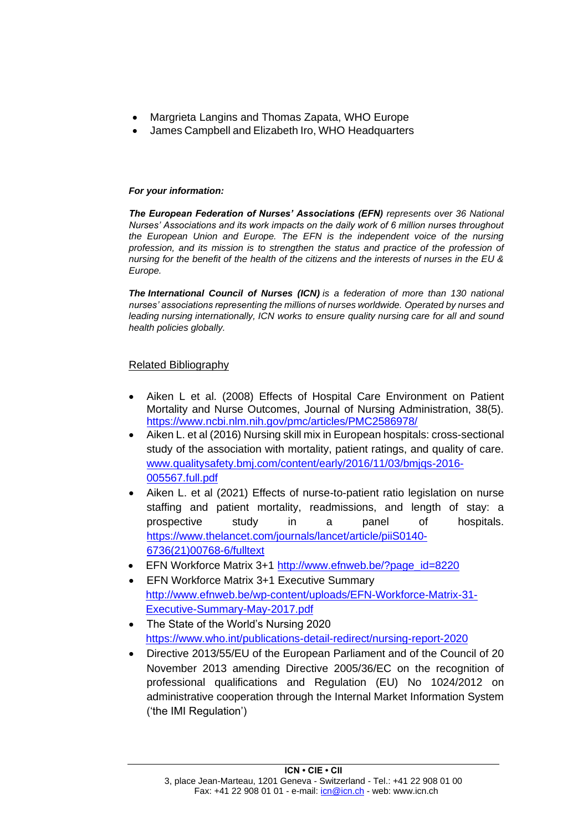- Margrieta Langins [and Thomas Zapat](mailto:langinsm@who.int)a, WHO Europe
- [James Campbell](mailto:zapatat@who.int) and Elizabeth Iro, WHO Headquarters

## *For your information:*

*The European Federation of Nurses' Associations (EFN) represents over 36 National Nurses' Associations and its work impacts on the daily work of 6 million nurses throughout the European Union and Europe. The EFN is the independent voice of the nursing profession, and its mission is to strengthen the status and practice of the profession of nursing for the benefit of the health of the citizens and the interests of nurses in the EU & Europe.* 

*The International Council of Nurses (ICN) is a federation of more than 130 national nurses' associations representing the millions of nurses worldwide. Operated by nurses and leading nursing internationally, ICN works to ensure quality nursing care for all and sound health policies globally.*

## Related Bibliography

- Aiken L et al. (2008) Effects of Hospital Care Environment on Patient Mortality and Nurse Outcomes, Journal of Nursing Administration, 38(5). <https://www.ncbi.nlm.nih.gov/pmc/articles/PMC2586978/>
- Aiken L. et al (2016) Nursing skill mix in European hospitals: cross-sectional study of the association with mortality, patient ratings, and quality of care. [www.qualitysafety.bmj.com/content/early/2016/11/03/bmjqs-2016-](http://www.qualitysafety.bmj.com/content/early/2016/11/03/bmjqs-2016-005567.full.pdf) [005567.full.pdf](http://www.qualitysafety.bmj.com/content/early/2016/11/03/bmjqs-2016-005567.full.pdf)
- Aiken L. et al (2021) Effects of nurse-to-patient ratio legislation on nurse staffing and patient mortality, readmissions, and length of stay: a prospective study in a panel of hospitals. [https://www.thelancet.com/journals/lancet/article/piiS0140-](https://www.thelancet.com/journals/lancet/article/piiS0140-6736(21)00768-6/fulltext) [6736\(21\)00768-6/fulltext](https://www.thelancet.com/journals/lancet/article/piiS0140-6736(21)00768-6/fulltext)
- EFN Workforce Matrix 3+1 [http://www.efnweb.be/?page\\_id=8220](http://www.efnweb.be/?page_id=8220)
- EFN Workforce Matrix 3+1 Executive Summary [http://www.efnweb.be/wp-content/uploads/EFN-Workforce-Matrix-31-](http://www.efnweb.be/wp-content/uploads/EFN-Workforce-Matrix-31-Executive-Summary-May-2017.pdf) [Executive-Summary-May-2017.pdf](http://www.efnweb.be/wp-content/uploads/EFN-Workforce-Matrix-31-Executive-Summary-May-2017.pdf)
- The State of the World's Nursing 2020 <https://www.who.int/publications-detail-redirect/nursing-report-2020>
- Directive 2013/55/EU of the European Parliament and of the Council of 20 November 2013 amending Directive 2005/36/EC on the recognition of professional qualifications and Regulation (EU) No 1024/2012 on administrative cooperation through the Internal Market Information System ('the IMI Regulation')